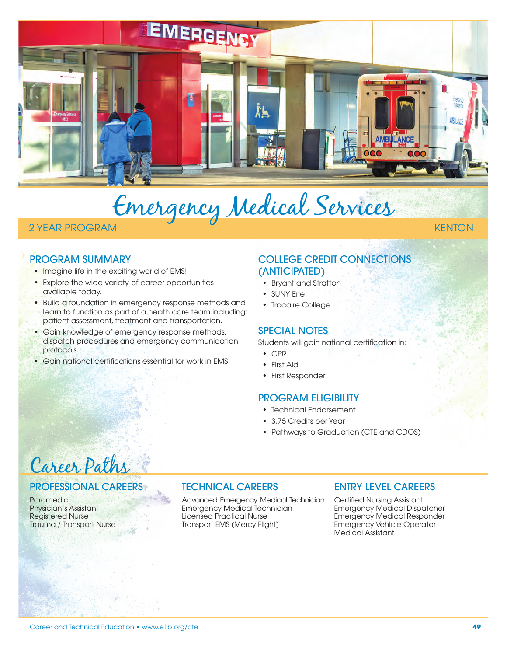

# Emergency Medical Services

# 2 YEAR PROGRAM KENTON

# PROGRAM SUMMARY

- Imagine life in the exciting world of EMS!
- Explore the wide variety of career opportunities available today.
- Build a foundation in emergency response methods and learn to function as part of a heath care team including: patient assessment, treatment and transportation.
- Gain knowledge of emergency response methods, dispatch procedures and emergency communication protocols.
- Gain national certifications essential for work in EMS.

# COLLEGE CREDIT CONNECTIONS (ANTICIPATED)

- Bryant and Stratton
- SUNY Frie
- Trocaire College

# SPECIAL NOTES

Students will gain national certification in:

- CPR
- First Aid
- First Responder

### PROGRAM ELIGIBILITY

- Technical Endorsement
- 3.75 Credits per Year
- Pathways to Graduation (CTE and CDOS)

# Career Paths

### PROFESSIONAL CAREERS

**Paramedic** Physician's Assistant Registered Nurse Trauma / Transport Nurse

# TECHNICAL CAREERS

Advanced Emergency Medical Technician Emergency Medical Technician Licensed Practical Nurse Transport EMS (Mercy Flight)

### ENTRY LEVEL CAREERS

Certified Nursing Assistant Emergency Medical Dispatcher Emergency Medical Responder Emergency Vehicle Operator Medical Assistant